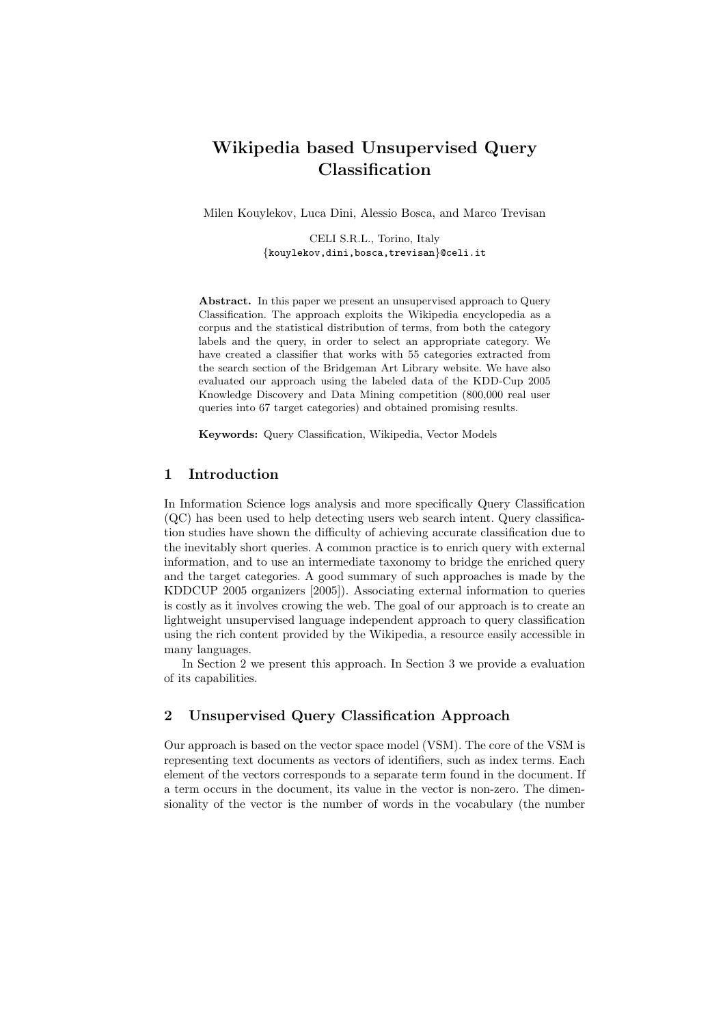# Wikipedia based Unsupervised Query Classification

Milen Kouylekov, Luca Dini, Alessio Bosca, and Marco Trevisan

CELI S.R.L., Torino, Italy {kouylekov,dini,bosca,trevisan}@celi.it

Abstract. In this paper we present an unsupervised approach to Query Classification. The approach exploits the Wikipedia encyclopedia as a corpus and the statistical distribution of terms, from both the category labels and the query, in order to select an appropriate category. We have created a classifier that works with 55 categories extracted from the search section of the Bridgeman Art Library website. We have also evaluated our approach using the labeled data of the KDD-Cup 2005 Knowledge Discovery and Data Mining competition (800,000 real user queries into 67 target categories) and obtained promising results.

Keywords: Query Classification, Wikipedia, Vector Models

## 1 Introduction

In Information Science logs analysis and more specifically Query Classification (QC) has been used to help detecting users web search intent. Query classification studies have shown the difficulty of achieving accurate classification due to the inevitably short queries. A common practice is to enrich query with external information, and to use an intermediate taxonomy to bridge the enriched query and the target categories. A good summary of such approaches is made by the KDDCUP 2005 organizers [2005]). Associating external information to queries is costly as it involves crowing the web. The goal of our approach is to create an lightweight unsupervised language independent approach to query classification using the rich content provided by the Wikipedia, a resource easily accessible in many languages.

In Section 2 we present this approach. In Section 3 we provide a evaluation of its capabilities.

# 2 Unsupervised Query Classification Approach

Our approach is based on the vector space model (VSM). The core of the VSM is representing text documents as vectors of identifiers, such as index terms. Each element of the vectors corresponds to a separate term found in the document. If a term occurs in the document, its value in the vector is non-zero. The dimensionality of the vector is the number of words in the vocabulary (the number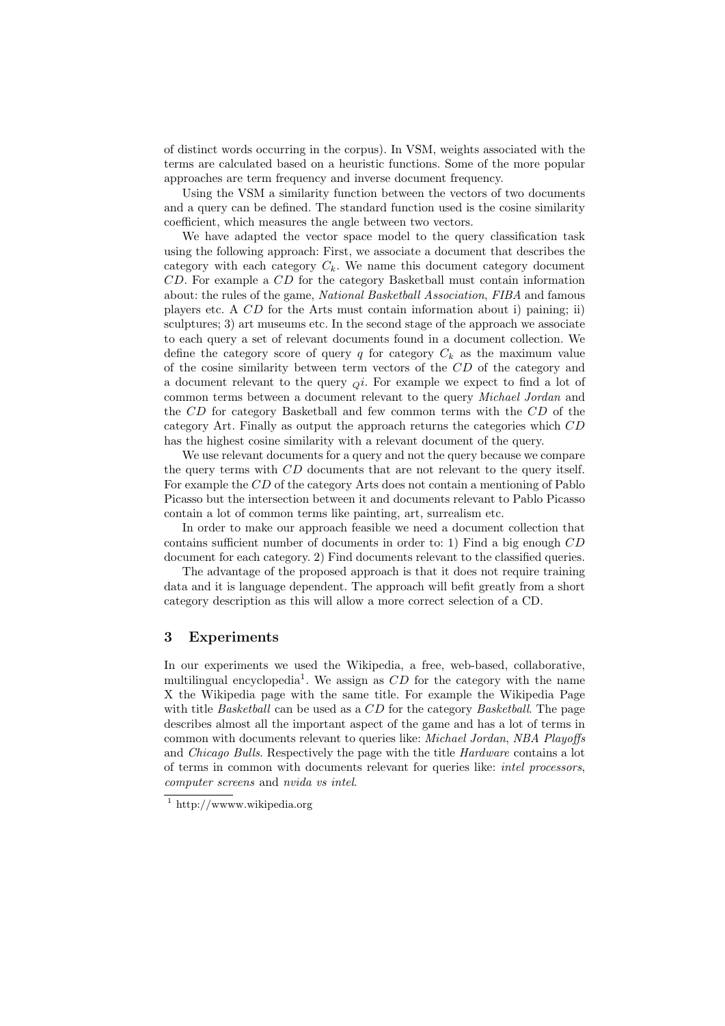of distinct words occurring in the corpus). In VSM, weights associated with the terms are calculated based on a heuristic functions. Some of the more popular approaches are term frequency and inverse document frequency.

Using the VSM a similarity function between the vectors of two documents and a query can be defined. The standard function used is the cosine similarity coefficient, which measures the angle between two vectors.

We have adapted the vector space model to the query classification task using the following approach: First, we associate a document that describes the category with each category  $C_k$ . We name this document category document CD. For example a CD for the category Basketball must contain information about: the rules of the game, National Basketball Association, FIBA and famous players etc. A CD for the Arts must contain information about i) paining; ii) sculptures; 3) art museums etc. In the second stage of the approach we associate to each query a set of relevant documents found in a document collection. We define the category score of query q for category  $C_k$  as the maximum value of the cosine similarity between term vectors of the CD of the category and a document relevant to the query  $\alpha i$ . For example we expect to find a lot of common terms between a document relevant to the query Michael Jordan and the CD for category Basketball and few common terms with the CD of the category Art. Finally as output the approach returns the categories which CD has the highest cosine similarity with a relevant document of the query.

We use relevant documents for a query and not the query because we compare the query terms with CD documents that are not relevant to the query itself. For example the CD of the category Arts does not contain a mentioning of Pablo Picasso but the intersection between it and documents relevant to Pablo Picasso contain a lot of common terms like painting, art, surrealism etc.

In order to make our approach feasible we need a document collection that contains sufficient number of documents in order to: 1) Find a big enough CD document for each category. 2) Find documents relevant to the classified queries.

The advantage of the proposed approach is that it does not require training data and it is language dependent. The approach will befit greatly from a short category description as this will allow a more correct selection of a CD.

## 3 Experiments

In our experiments we used the Wikipedia, a free, web-based, collaborative, multilingual encyclopedia<sup>1</sup>. We assign as  $CD$  for the category with the name X the Wikipedia page with the same title. For example the Wikipedia Page with title *Basketball* can be used as a CD for the category *Basketball*. The page describes almost all the important aspect of the game and has a lot of terms in common with documents relevant to queries like: *Michael Jordan, NBA Playoffs* and Chicago Bulls. Respectively the page with the title Hardware contains a lot of terms in common with documents relevant for queries like: intel processors, computer screens and nvida vs intel.

 $1$  http://www.wikipedia.org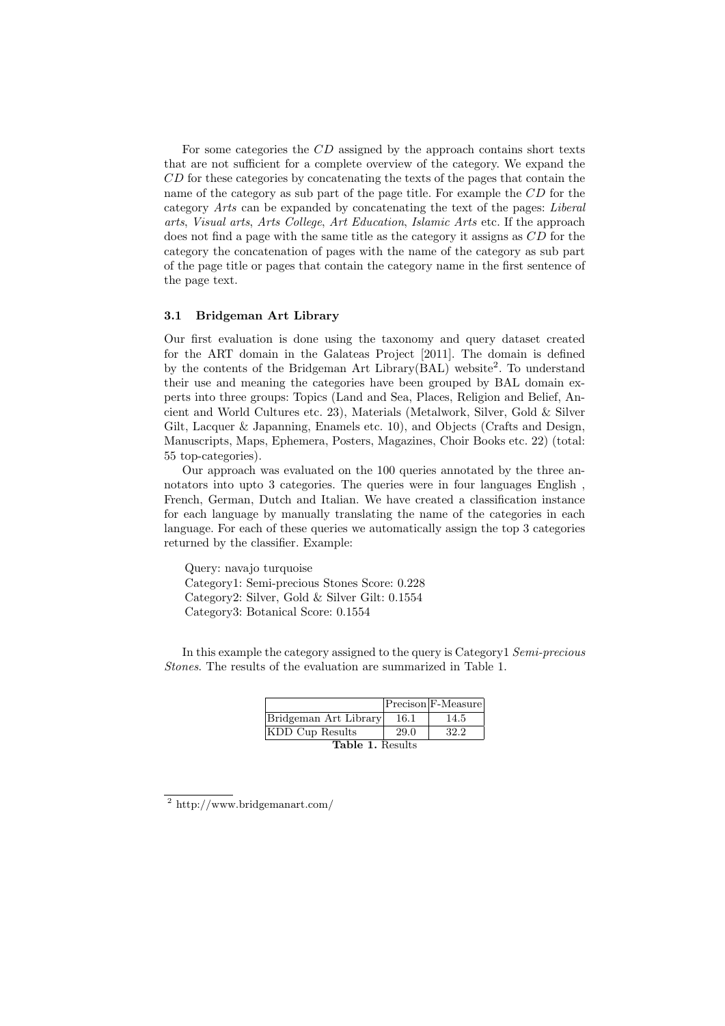For some categories the CD assigned by the approach contains short texts that are not sufficient for a complete overview of the category. We expand the CD for these categories by concatenating the texts of the pages that contain the name of the category as sub part of the page title. For example the CD for the category Arts can be expanded by concatenating the text of the pages: Liberal arts, Visual arts, Arts College, Art Education, Islamic Arts etc. If the approach does not find a page with the same title as the category it assigns as CD for the category the concatenation of pages with the name of the category as sub part of the page title or pages that contain the category name in the first sentence of the page text.

#### 3.1 Bridgeman Art Library

Our first evaluation is done using the taxonomy and query dataset created for the ART domain in the Galateas Project [2011]. The domain is defined by the contents of the Bridgeman Art Library(BAL) website<sup>2</sup>. To understand their use and meaning the categories have been grouped by BAL domain experts into three groups: Topics (Land and Sea, Places, Religion and Belief, Ancient and World Cultures etc. 23), Materials (Metalwork, Silver, Gold & Silver Gilt, Lacquer & Japanning, Enamels etc. 10), and Objects (Crafts and Design, Manuscripts, Maps, Ephemera, Posters, Magazines, Choir Books etc. 22) (total: 55 top-categories).

Our approach was evaluated on the 100 queries annotated by the three annotators into upto 3 categories. The queries were in four languages English , French, German, Dutch and Italian. We have created a classification instance for each language by manually translating the name of the categories in each language. For each of these queries we automatically assign the top 3 categories returned by the classifier. Example:

Query: navajo turquoise Category1: Semi-precious Stones Score: 0.228 Category2: Silver, Gold & Silver Gilt: 0.1554 Category3: Botanical Score: 0.1554

In this example the category assigned to the query is Category1 Semi-precious Stones. The results of the evaluation are summarized in Table 1.

|                         |      | Precison F-Measure |
|-------------------------|------|--------------------|
| Bridgeman Art Library   | 16.1 | 14.5               |
| KDD Cup Results         | 29.0 | 32.2               |
| <b>Table 1. Results</b> |      |                    |

<sup>2</sup> http://www.bridgemanart.com/